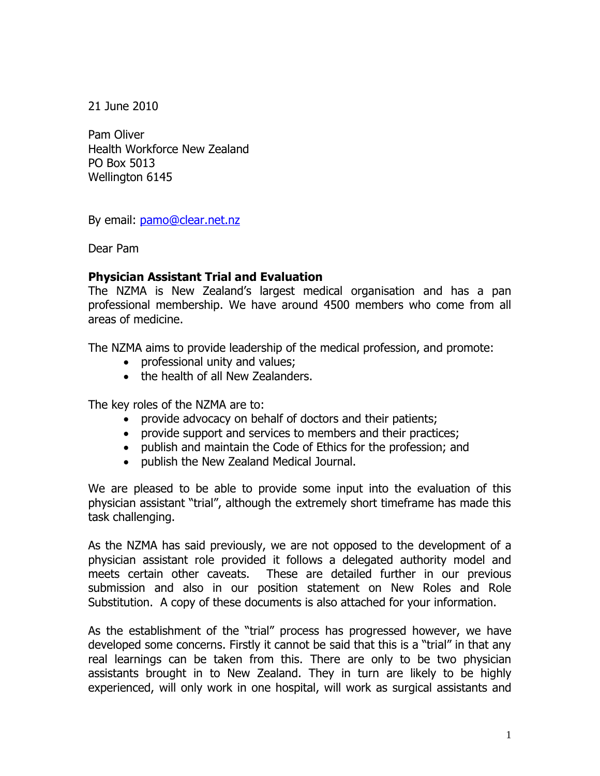21 June 2010

Pam Oliver Health Workforce New Zealand PO Box 5013 Wellington 6145

By email: [pamo@clear.net.nz](mailto:pamo@clear.net.nz)

Dear Pam

## **Physician Assistant Trial and Evaluation**

The NZMA is New Zealand's largest medical organisation and has a pan professional membership. We have around 4500 members who come from all areas of medicine.

The NZMA aims to provide leadership of the medical profession, and promote:

- professional unity and values;
- the health of all New Zealanders.

The key roles of the NZMA are to:

- provide advocacy on behalf of doctors and their patients;
- provide support and services to members and their practices;
- publish and maintain the Code of Ethics for the profession; and
- publish the New Zealand Medical Journal.

We are pleased to be able to provide some input into the evaluation of this physician assistant "trial", although the extremely short timeframe has made this task challenging.

As the NZMA has said previously, we are not opposed to the development of a physician assistant role provided it follows a delegated authority model and meets certain other caveats. These are detailed further in our previous submission and also in our position statement on New Roles and Role Substitution. A copy of these documents is also attached for your information.

As the establishment of the "trial" process has progressed however, we have developed some concerns. Firstly it cannot be said that this is a "trial" in that any real learnings can be taken from this. There are only to be two physician assistants brought in to New Zealand. They in turn are likely to be highly experienced, will only work in one hospital, will work as surgical assistants and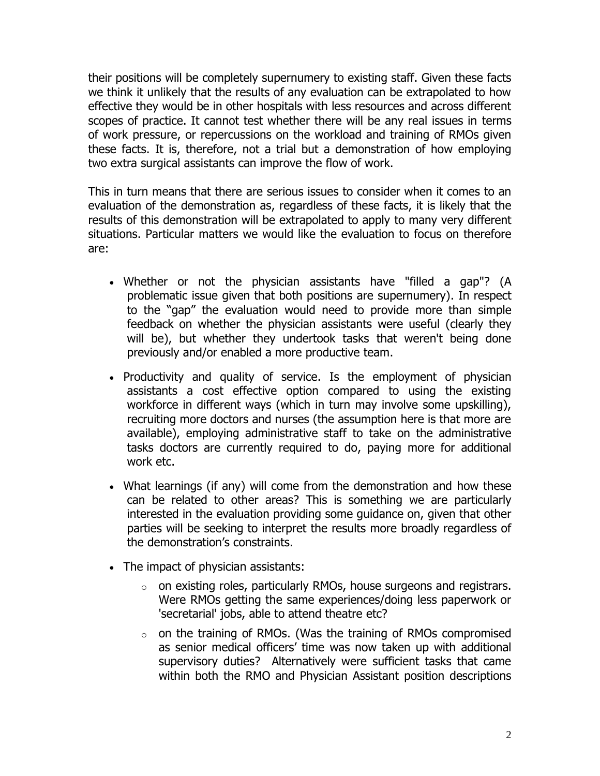their positions will be completely supernumery to existing staff. Given these facts we think it unlikely that the results of any evaluation can be extrapolated to how effective they would be in other hospitals with less resources and across different scopes of practice. It cannot test whether there will be any real issues in terms of work pressure, or repercussions on the workload and training of RMOs given these facts. It is, therefore, not a trial but a demonstration of how employing two extra surgical assistants can improve the flow of work.

This in turn means that there are serious issues to consider when it comes to an evaluation of the demonstration as, regardless of these facts, it is likely that the results of this demonstration will be extrapolated to apply to many very different situations. Particular matters we would like the evaluation to focus on therefore are:

- Whether or not the physician assistants have "filled a gap"? (A problematic issue given that both positions are supernumery). In respect to the "gap" the evaluation would need to provide more than simple feedback on whether the physician assistants were useful (clearly they will be), but whether they undertook tasks that weren't being done previously and/or enabled a more productive team.
- Productivity and quality of service. Is the employment of physician assistants a cost effective option compared to using the existing workforce in different ways (which in turn may involve some upskilling), recruiting more doctors and nurses (the assumption here is that more are available), employing administrative staff to take on the administrative tasks doctors are currently required to do, paying more for additional work etc.
- What learnings (if any) will come from the demonstration and how these can be related to other areas? This is something we are particularly interested in the evaluation providing some guidance on, given that other parties will be seeking to interpret the results more broadly regardless of the demonstration's constraints.
- The impact of physician assistants:
	- $\circ$  on existing roles, particularly RMOs, house surgeons and registrars. Were RMOs getting the same experiences/doing less paperwork or 'secretarial' jobs, able to attend theatre etc?
	- $\circ$  on the training of RMOs. (Was the training of RMOs compromised as senior medical officers' time was now taken up with additional supervisory duties? Alternatively were sufficient tasks that came within both the RMO and Physician Assistant position descriptions